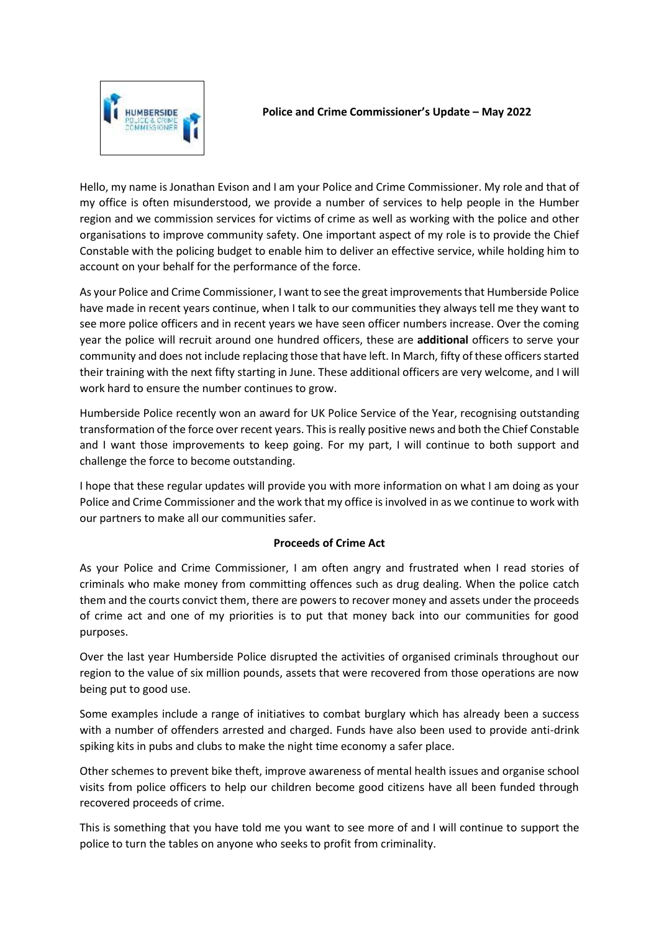

Hello, my name is Jonathan Evison and I am your Police and Crime Commissioner. My role and that of my office is often misunderstood, we provide a number of services to help people in the Humber region and we commission services for victims of crime as well as working with the police and other organisations to improve community safety. One important aspect of my role is to provide the Chief Constable with the policing budget to enable him to deliver an effective service, while holding him to account on your behalf for the performance of the force.

As your Police and Crime Commissioner, I want to see the great improvements that Humberside Police have made in recent years continue, when I talk to our communities they always tell me they want to see more police officers and in recent years we have seen officer numbers increase. Over the coming year the police will recruit around one hundred officers, these are **additional** officers to serve your community and does not include replacing those that have left. In March, fifty of these officers started their training with the next fifty starting in June. These additional officers are very welcome, and I will work hard to ensure the number continues to grow.

Humberside Police recently won an award for UK Police Service of the Year, recognising outstanding transformation of the force over recent years. This is really positive news and both the Chief Constable and I want those improvements to keep going. For my part, I will continue to both support and challenge the force to become outstanding.

I hope that these regular updates will provide you with more information on what I am doing as your Police and Crime Commissioner and the work that my office is involved in as we continue to work with our partners to make all our communities safer.

## **Proceeds of Crime Act**

As your Police and Crime Commissioner, I am often angry and frustrated when I read stories of criminals who make money from committing offences such as drug dealing. When the police catch them and the courts convict them, there are powers to recover money and assets under the proceeds of crime act and one of my priorities is to put that money back into our communities for good purposes.

Over the last year Humberside Police disrupted the activities of organised criminals throughout our region to the value of six million pounds, assets that were recovered from those operations are now being put to good use.

Some examples include a range of initiatives to combat burglary which has already been a success with a number of offenders arrested and charged. Funds have also been used to provide anti-drink spiking kits in pubs and clubs to make the night time economy a safer place.

Other schemes to prevent bike theft, improve awareness of mental health issues and organise school visits from police officers to help our children become good citizens have all been funded through recovered proceeds of crime.

This is something that you have told me you want to see more of and I will continue to support the police to turn the tables on anyone who seeks to profit from criminality.